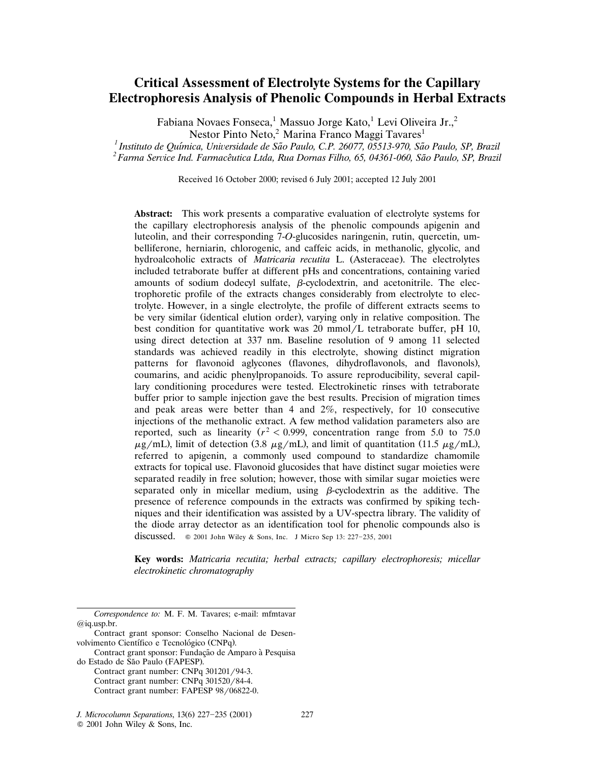# **Critical Assessment of Electrolyte Systems for the Capillary Electrophoresis Analysis of Phenolic Compounds in Herbal Extracts**

Fabiana Novaes Fonseca,<sup>1</sup> Massuo Jorge Kato,<sup>1</sup> Levi Oliveira Jr.,<sup>2</sup>

Nestor Pinto Neto,<sup>2</sup> Marina Franco Maggi Tavares<sup>1</sup>

<sup>1</sup> Instituto de Química, Universidade de São Paulo, C.P. 26077, 05513-970, São Paulo, SP, Brazil <sup>2</sup> Farma Service Ind. Farmacêutica Ltda, Rua Dornas Filho, 65, 04361-060, São Paulo, SP, Brazil

Received 16 October 2000; revised 6 July 2001; accepted 12 July 2001

**Abstract:** This work presents a comparative evaluation of electrolyte systems for the capillary electrophoresis analysis of the phenolic compounds apigenin and luteolin, and their corresponding 7-*O*-glucosides naringenin, rutin, quercetin, umbelliferone, herniarin, chlorogenic, and caffeic acids, in methanolic, glycolic, and hydroalcoholic extracts of *Matricaria recutita* L. (Asteraceae). The electrolytes included tetraborate buffer at different pHs and concentrations, containing varied amounts of sodium dodecyl sulfate,  $\beta$ -cyclodextrin, and acetonitrile. The electrophoretic profile of the extracts changes considerably from electrolyte to electrolyte. However, in a single electrolyte, the profile of different extracts seems to be very similar (identical elution order), varying only in relative composition. The best condition for quantitative work was 20 mmol/L tetraborate buffer, pH 10, using direct detection at 337 nm. Baseline resolution of 9 among 11 selected standards was achieved readily in this electrolyte, showing distinct migration patterns for flavonoid aglycones (flavones, dihydroflavonols, and flavonols), coumarins, and acidic phenylpropanoids. To assure reproducibility, several capillary conditioning procedures were tested. Electrokinetic rinses with tetraborate buffer prior to sample injection gave the best results. Precision of migration times and peak areas were better than 4 and 2%, respectively, for 10 consecutive injections of the methanolic extract. A few method validation parameters also are reported, such as linearity  $(r^2 < 0.999)$ , concentration range from 5.0 to 75.0  $\mu$ g/mL), limit of detection (3.8  $\mu$ g/mL), and limit of quantitation (11.5  $\mu$ g/mL), referred to apigenin, a commonly used compound to standardize chamomile extracts for topical use. Flavonoid glucosides that have distinct sugar moieties were separated readily in free solution; however, those with similar sugar moieties were separated only in micellar medium, using  $\beta$ -cyclodextrin as the additive. The presence of reference compounds in the extracts was confirmed by spiking techniques and their identification was assisted by a UV-spectra library. The validity of the diode array detector as an identification tool for phenolic compounds also is discussed.  $\circ$  2001 John Wiley & Sons, Inc. J Micro Sep 13: 227-235, 2001

**Key words:** *Matricaria recutita; herbal extracts; capillary electrophoresis; micellar electrokinetic chromatography*

Contract grant sponsor: Fundação de Amparo à Pesquisa do Estado de São Paulo (FAPESP).

Contract grant number: CNPq 301201/94-3. Contract grant number: CNPq 301520/84-4. Contract grant number: FAPESP 98/06822-0.

*Correspondence to:* M. F. M. Tavares; e-mail: mfmtavar @iq.usp.br.

Contract grant sponsor: Conselho Nacional de Desenvolvimento Científico e Tecnológico (CNPq).

*J. Microcolumn Separations*, 13(6) 227-235 (2001)

2001 John Wiley & Sons, Inc.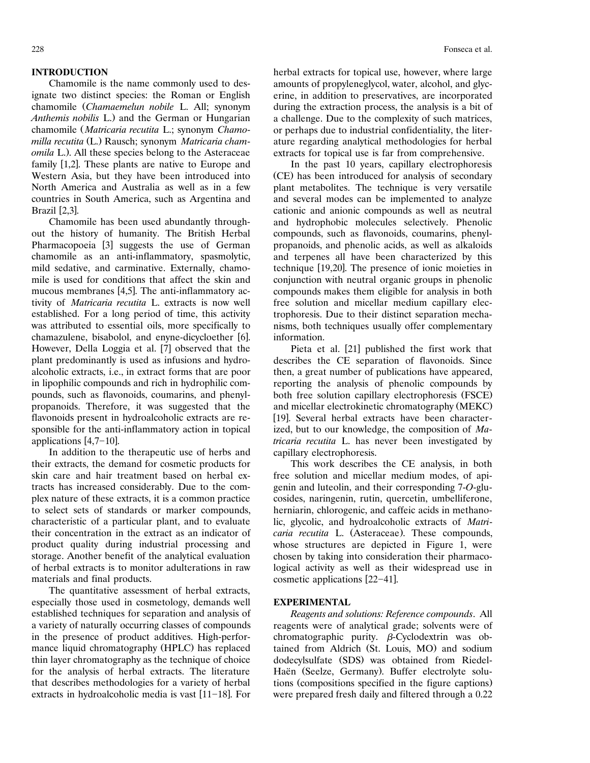## **INTRODUCTION**

Chamomile is the name commonly used to designate two distinct species: the Roman or English chamomile Ž*Chamaemelun nobile* L. All; synonym *Anthemis nobilis* L.) and the German or Hungarian chamomile Ž*Matricaria recutita* L.; synonym *Chamomilla recutita* (L.) Rausch; synonym *Matricaria chamomila* L.). All these species belong to the Asteraceae family [1,2]. These plants are native to Europe and Western Asia, but they have been introduced into North America and Australia as well as in a few countries in South America, such as Argentina and Brazil [2,3].

Chamomile has been used abundantly throughout the history of humanity. The British Herbal Pharmacopoeia [3] suggests the use of German chamomile as an anti-inflammatory, spasmolytic, mild sedative, and carminative. Externally, chamomile is used for conditions that affect the skin and mucous membranes [4,5]. The anti-inflammatory activity of *Matricaria recutita* L. extracts is now well established. For a long period of time, this activity was attributed to essential oils, more specifically to chamazulene, bisabolol, and enyne-dicycloether [6]. However, Della Loggia et al. [7] observed that the plant predominantly is used as infusions and hydroalcoholic extracts, i.e., in extract forms that are poor in lipophilic compounds and rich in hydrophilic compounds, such as flavonoids, coumarins, and phenylpropanoids. Therefore, it was suggested that the flavonoids present in hydroalcoholic extracts are responsible for the anti-inflammatory action in topical applications  $[4,7-10]$ .

In addition to the therapeutic use of herbs and their extracts, the demand for cosmetic products for skin care and hair treatment based on herbal extracts has increased considerably. Due to the complex nature of these extracts, it is a common practice to select sets of standards or marker compounds, characteristic of a particular plant, and to evaluate their concentration in the extract as an indicator of product quality during industrial processing and storage. Another benefit of the analytical evaluation of herbal extracts is to monitor adulterations in raw materials and final products.

The quantitative assessment of herbal extracts, especially those used in cosmetology, demands well established techniques for separation and analysis of a variety of naturally occurring classes of compounds in the presence of product additives. High-performance liquid chromatography (HPLC) has replaced thin layer chromatography as the technique of choice for the analysis of herbal extracts. The literature that describes methodologies for a variety of herbal extracts in hydroalcoholic media is vast  $[11-18]$ . For

herbal extracts for topical use, however, where large amounts of propyleneglycol, water, alcohol, and glycerine, in addition to preservatives, are incorporated during the extraction process, the analysis is a bit of a challenge. Due to the complexity of such matrices, or perhaps due to industrial confidentiality, the literature regarding analytical methodologies for herbal extracts for topical use is far from comprehensive.

In the past 10 years, capillary electrophoresis (CE) has been introduced for analysis of secondary plant metabolites. The technique is very versatile and several modes can be implemented to analyze cationic and anionic compounds as well as neutral and hydrophobic molecules selectively. Phenolic compounds, such as flavonoids, coumarins, phenylpropanoids, and phenolic acids, as well as alkaloids and terpenes all have been characterized by this technique [19,20]. The presence of ionic moieties in conjunction with neutral organic groups in phenolic compounds makes them eligible for analysis in both free solution and micellar medium capillary electrophoresis. Due to their distinct separation mechanisms, both techniques usually offer complementary information.

Pieta et al. [21] published the first work that describes the CE separation of flavonoids. Since then, a great number of publications have appeared, reporting the analysis of phenolic compounds by both free solution capillary electrophoresis (FSCE) and micellar electrokinetic chromatography (MEKC) [19]. Several herbal extracts have been characterized, but to our knowledge, the composition of *Matricaria recutita* L. has never been investigated by capillary electrophoresis.

This work describes the CE analysis, in both free solution and micellar medium modes, of apigenin and luteolin, and their corresponding 7-*O*-glucosides, naringenin, rutin, quercetin, umbelliferone, herniarin, chlorogenic, and caffeic acids in methanolic, glycolic, and hydroalcoholic extracts of *Matricaria recutita* L. (Asteraceae). These compounds, whose structures are depicted in Figure 1, were chosen by taking into consideration their pharmacological activity as well as their widespread use in cosmetic applications [22-41].

### **EXPERIMENTAL**

*Reagents and solutions: Reference compounds*. All reagents were of analytical grade; solvents were of chromatographic purity.  $\beta$ -Cyclodextrin was obtained from Aldrich (St. Louis, MO) and sodium dodecylsulfate (SDS) was obtained from Riedel-Haën (Seelze, Germany). Buffer electrolyte solutions (compositions specified in the figure captions) were prepared fresh daily and filtered through a 0.22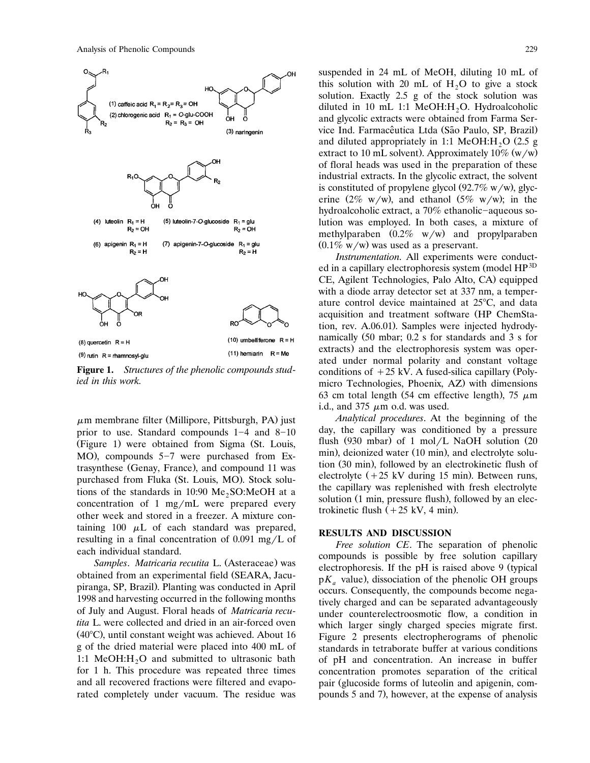

**Figure 1.** *Structures of the phenolic compounds studied in this work.*

 $\mu$ m membrane filter (Millipore, Pittsburgh, PA) just prior to use. Standard compounds  $1-4$  and  $8-10$ (Figure 1) were obtained from Sigma (St. Louis, MO), compounds 5-7 were purchased from Extrasynthese (Genay, France), and compound 11 was purchased from Fluka (St. Louis, MO). Stock solutions of the standards in  $10:90 \text{ Me}_2$  SO:MeOH at a concentration of 1 mg/mL were prepared every other week and stored in a freezer. A mixture containing 100  $\mu$ L of each standard was prepared, resulting in a final concentration of  $0.091$  mg/L of each individual standard.

Samples. Matricaria recutita L. (Asteraceae) was obtained from an experimental field (SEARA, Jacupiranga, SP, Brazil). Planting was conducted in April 1998 and harvesting occurred in the following months of July and August. Floral heads of *Matricaria recutita* L. were collected and dried in an air-forced oven  $(40^{\circ}$ C), until constant weight was achieved. About 16 g of the dried material were placed into 400 mL of 1:1 MeOH: $H<sub>2</sub>O$  and submitted to ultrasonic bath for 1 h. This procedure was repeated three times and all recovered fractions were filtered and evaporated completely under vacuum. The residue was

suspended in 24 mL of MeOH, diluting 10 mL of this solution with 20 mL of  $H<sub>2</sub>O$  to give a stock solution. Exactly 2.5 g of the stock solution was diluted in 10 mL 1:1 MeOH: $H<sub>2</sub>O$ . Hydroalcoholic and glycolic extracts were obtained from Farma Service Ind. Farmacêutica Ltda (São Paulo, SP, Brazil) and diluted appropriately in 1:1 MeOH: $H<sub>2</sub>O$  (2.5 g extract to 10 mL solvent). Approximately 10% (w/w) of floral heads was used in the preparation of these industrial extracts. In the glycolic extract, the solvent is constituted of propylene glycol  $(92.7\% \text{ w/w})$ , glycerine (2% w/w), and ethanol (5% w/w); in the hydroalcoholic extract, a 70% ethanolic-aqueous solution was employed. In both cases, a mixture of methylparaben  $(0.2\% \text{ w/w})$  and propylparaben  $(0.1\% \text{ w/w})$  was used as a preservant.

*Instrumentation*. All experiments were conducted in a capillary electrophoresis system (model HP<sup>3D</sup> CE, Agilent Technologies, Palo Alto, CA) equipped with a diode array detector set at 337 nm, a temperature control device maintained at 25°C, and data acquisition and treatment software (HP ChemStation, rev. A.06.01). Samples were injected hydrodynamically  $(50 \text{ mbar}; 0.2 \text{ s}$  for standards and 3 s for extracts) and the electrophoresis system was operated under normal polarity and constant voltage conditions of  $+25$  kV. A fused-silica capillary (Polymicro Technologies, Phoenix, AZ) with dimensions 63 cm total length (54 cm effective length), 75  $\mu$ m i.d., and 375  $\mu$ m o.d. was used.

*Analytical procedures*. At the beginning of the day, the capillary was conditioned by a pressure flush (930 mbar) of 1 mol/L NaOH solution (20 min), deionized water (10 min), and electrolyte solution (30 min), followed by an electrokinetic flush of electrolyte  $(+25 \text{ kV}$  during 15 min). Between runs, the capillary was replenished with fresh electrolyte solution (1 min, pressure flush), followed by an electrokinetic flush  $(+25 \text{ kV}, 4 \text{ min})$ .

### **RESULTS AND DISCUSSION**

*Free solution CE*. The separation of phenolic compounds is possible by free solution capillary electrophoresis. If the  $pH$  is raised above 9 (typical  $pK_a$  value), dissociation of the phenolic OH groups occurs. Consequently, the compounds become negatively charged and can be separated advantageously under counterelectroosmotic flow, a condition in which larger singly charged species migrate first. Figure 2 presents electropherograms of phenolic standards in tetraborate buffer at various conditions of pH and concentration. An increase in buffer concentration promotes separation of the critical pair (glucoside forms of luteolin and apigenin, compounds 5 and 7), however, at the expense of analysis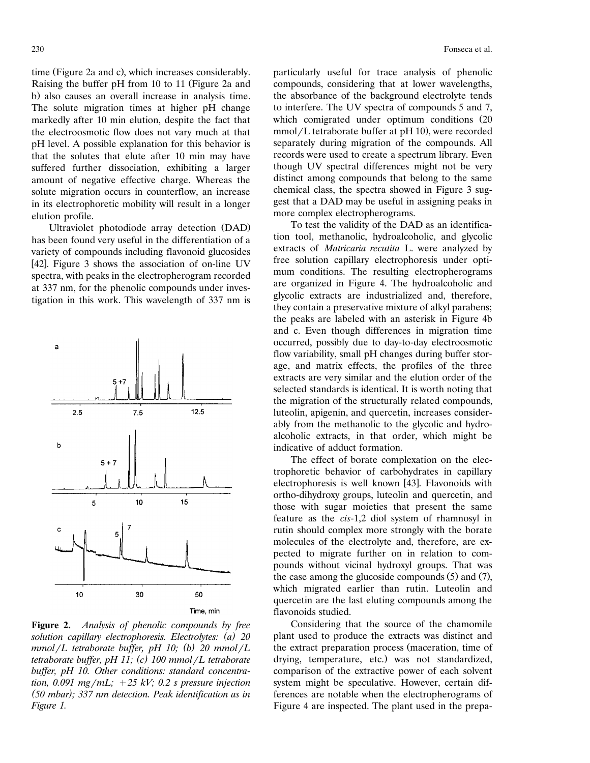time (Figure 2a and c), which increases considerably. Raising the buffer pH from 10 to 11 (Figure 2a and b) also causes an overall increase in analysis time. The solute migration times at higher pH change markedly after 10 min elution, despite the fact that the electroosmotic flow does not vary much at that pH level. A possible explanation for this behavior is that the solutes that elute after 10 min may have suffered further dissociation, exhibiting a larger amount of negative effective charge. Whereas the solute migration occurs in counterflow, an increase in its electrophoretic mobility will result in a longer elution profile.

Ultraviolet photodiode array detection (DAD) has been found very useful in the differentiation of a variety of compounds including flavonoid glucosides [42]. Figure 3 shows the association of on-line UV spectra, with peaks in the electropherogram recorded at 337 nm, for the phenolic compounds under investigation in this work. This wavelength of 337 nm is



Time, min

**Figure 2.** *Analysis of phenolic compounds by free* solution capillary electrophoresis. Electrolytes: (a) 20 *mmol* / L tetraborate buffer, pH 10; (b) 20 mmol / L *tetraborate buffer, pH 11; c 100 mmol ( )* -*L tetraborate buffer, pH 10. Other conditions: standard concentration, 0.091 mg*-*mL; 25 kV; 0.2 s pressure injection ( ) 50 mbar ; 337 nm detection. Peak identification as in Figure 1.*

particularly useful for trace analysis of phenolic compounds, considering that at lower wavelengths, the absorbance of the background electrolyte tends to interfere. The UV spectra of compounds 5 and 7, which comigrated under optimum conditions  $(20)$ mmol/L tetraborate buffer at pH 10), were recorded separately during migration of the compounds. All records were used to create a spectrum library. Even though UV spectral differences might not be very distinct among compounds that belong to the same chemical class, the spectra showed in Figure 3 suggest that a DAD may be useful in assigning peaks in more complex electropherograms.

To test the validity of the DAD as an identification tool, methanolic, hydroalcoholic, and glycolic extracts of *Matricaria recutita* L. were analyzed by free solution capillary electrophoresis under optimum conditions. The resulting electropherograms are organized in Figure 4. The hydroalcoholic and glycolic extracts are industrialized and, therefore, they contain a preservative mixture of alkyl parabens; the peaks are labeled with an asterisk in Figure 4b and c. Even though differences in migration time occurred, possibly due to day-to-day electroosmotic flow variability, small pH changes during buffer storage, and matrix effects, the profiles of the three extracts are very similar and the elution order of the selected standards is identical. It is worth noting that the migration of the structurally related compounds, luteolin, apigenin, and quercetin, increases considerably from the methanolic to the glycolic and hydroalcoholic extracts, in that order, which might be indicative of adduct formation.

The effect of borate complexation on the electrophoretic behavior of carbohydrates in capillary electrophoresis is well known [43]. Flavonoids with ortho-dihydroxy groups, luteolin and quercetin, and those with sugar moieties that present the same feature as the *cis*-1,2 diol system of rhamnosyl in rutin should complex more strongly with the borate molecules of the electrolyte and, therefore, are expected to migrate further on in relation to compounds without vicinal hydroxyl groups. That was the case among the glucoside compounds  $(5)$  and  $(7)$ , which migrated earlier than rutin. Luteolin and quercetin are the last eluting compounds among the flavonoids studied.

Considering that the source of the chamomile plant used to produce the extracts was distinct and the extract preparation process (maceration, time of drying, temperature, etc.) was not standardized, comparison of the extractive power of each solvent system might be speculative. However, certain differences are notable when the electropherograms of Figure 4 are inspected. The plant used in the prepa-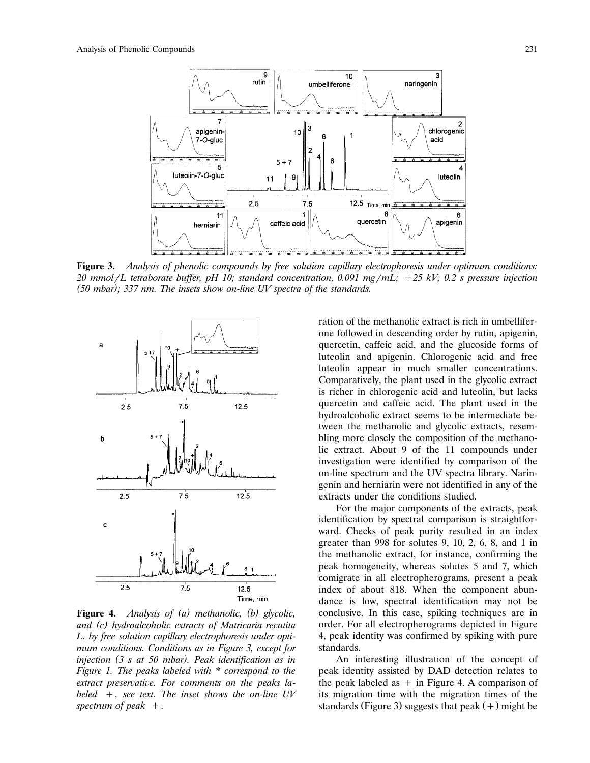

**Figure 3.** *Analysis of phenolic compounds by free solution capillary electrophoresis under optimum conditions: 20 mmol*-*L tetraborate buffer, pH 10; standard concentration, 0.091 mg*-*mL; 25 kV; 0.2 s pressure injection ( ) 50 mbar ; 337 nm. The insets show on-line UV spectra of the standards.*



**Figure 4.** *Analysis of (a) methanolic, (b) glycolic,* and (c) hydroalcoholic extracts of Matricaria recutita *L. by free solution capillary electrophoresis under optimum conditions. Conditions as in Figure 3, except for injection (3 s at 50 mbar). Peak identification as in Figure 1. The peaks labeled with \* correspond to the extract preseratie. For comments on the peaks labeled , see text. The inset shows the on-line UV* spectrum of peak  $+$ .

ration of the methanolic extract is rich in umbelliferone followed in descending order by rutin, apigenin, quercetin, caffeic acid, and the glucoside forms of luteolin and apigenin. Chlorogenic acid and free luteolin appear in much smaller concentrations. Comparatively, the plant used in the glycolic extract is richer in chlorogenic acid and luteolin, but lacks quercetin and caffeic acid. The plant used in the hydroalcoholic extract seems to be intermediate between the methanolic and glycolic extracts, resembling more closely the composition of the methanolic extract. About 9 of the 11 compounds under investigation were identified by comparison of the on-line spectrum and the UV spectra library. Naringenin and herniarin were not identified in any of the extracts under the conditions studied.

For the major components of the extracts, peak identification by spectral comparison is straightforward. Checks of peak purity resulted in an index greater than 998 for solutes 9, 10, 2, 6, 8, and 1 in the methanolic extract, for instance, confirming the peak homogeneity, whereas solutes 5 and 7, which comigrate in all electropherograms, present a peak index of about 818. When the component abundance is low, spectral identification may not be conclusive. In this case, spiking techniques are in order. For all electropherograms depicted in Figure 4, peak identity was confirmed by spiking with pure standards.

An interesting illustration of the concept of peak identity assisted by DAD detection relates to the peak labeled as  $+$  in Figure 4. A comparison of its migration time with the migration times of the standards (Figure 3) suggests that peak  $(+)$  might be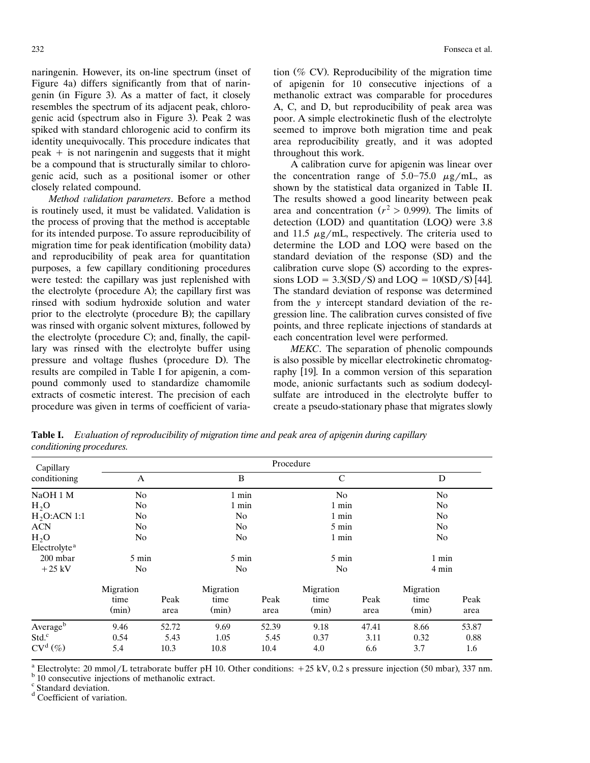naringenin. However, its on-line spectrum (inset of Figure 4a) differs significantly from that of naringenin (in Figure 3). As a matter of fact, it closely resembles the spectrum of its adjacent peak, chlorogenic acid (spectrum also in Figure 3). Peak 2 was spiked with standard chlorogenic acid to confirm its identity unequivocally. This procedure indicates that peak  $+$  is not naringenin and suggests that it might be a compound that is structurally similar to chlorogenic acid, such as a positional isomer or other closely related compound.

*Method validation parameters*. Before a method is routinely used, it must be validated. Validation is the process of proving that the method is acceptable for its intended purpose. To assure reproducibility of migration time for peak identification (mobility data) and reproducibility of peak area for quantitation purposes, a few capillary conditioning procedures were tested: the capillary was just replenished with the electrolyte (procedure  $A$ ); the capillary first was rinsed with sodium hydroxide solution and water prior to the electrolyte (procedure B); the capillary was rinsed with organic solvent mixtures, followed by the electrolyte (procedure C); and, finally, the capillary was rinsed with the electrolyte buffer using pressure and voltage flushes (procedure D). The results are compiled in Table I for apigenin, a compound commonly used to standardize chamomile extracts of cosmetic interest. The precision of each procedure was given in terms of coefficient of variation  $(\%$  CV). Reproducibility of the migration time of apigenin for 10 consecutive injections of a methanolic extract was comparable for procedures A, C, and D, but reproducibility of peak area was poor. A simple electrokinetic flush of the electrolyte seemed to improve both migration time and peak area reproducibility greatly, and it was adopted throughout this work.

A calibration curve for apigenin was linear over the concentration range of  $5.0-75.0 \mu g/mL$ , as shown by the statistical data organized in Table II. The results showed a good linearity between peak area and concentration  $(r^2 > 0.999)$ . The limits of detection  $(LOD)$  and quantitation  $(LOO)$  were 3.8 and 11.5  $\mu$ g/mL, respectively. The criteria used to determine the LOD and LOQ were based on the standard deviation of the response (SD) and the calibration curve slope  $(S)$  according to the expressions  $\text{LOD} = 3.3(\text{SD/S})$  and  $\text{LOQ} = 10(\text{SD/S})$  [44]. The standard deviation of response was determined from the *y* intercept standard deviation of the regression line. The calibration curves consisted of five points, and three replicate injections of standards at each concentration level were performed.

*MEKC*. The separation of phenolic compounds is also possible by micellar electrokinetic chromatography [19]. In a common version of this separation mode, anionic surfactants such as sodium dodecylsulfate are introduced in the electrolyte buffer to create a pseudo-stationary phase that migrates slowly

| Capillary                | Procedure      |              |                |              |                |              |                |              |
|--------------------------|----------------|--------------|----------------|--------------|----------------|--------------|----------------|--------------|
| conditioning             | A              |              | B              |              | $\mathsf{C}$   |              | D              |              |
| NaOH 1 M                 | N <sub>o</sub> |              | $1$ min        |              | N <sub>o</sub> |              | N <sub>o</sub> |              |
| $H_2O$                   | No             |              | 1 min          |              | 1 min          |              | No             |              |
| H <sub>2</sub> O:ACN 1:1 | No             |              | N <sub>0</sub> |              | 1 min          |              | No             |              |
| <b>ACN</b>               | No.            |              | N <sub>0</sub> |              | 5 min          |              | No.            |              |
| $H_2O$                   | N <sub>o</sub> |              | N <sub>0</sub> |              | 1 min          |              | N <sub>o</sub> |              |
| Electrolyte <sup>a</sup> |                |              |                |              |                |              |                |              |
| 200 mbar                 | 5 min          |              | 5 min          |              | 5 min          |              | 1 min          |              |
| $+25$ kV                 | N <sub>0</sub> |              | N <sub>o</sub> |              | N <sub>o</sub> |              | 4 min          |              |
|                          | Migration      |              | Migration      |              | Migration      |              | Migration      |              |
|                          | time<br>(min)  | Peak<br>area | time<br>(min)  | Peak<br>area | time<br>(min)  | Peak<br>area | time<br>(min)  | Peak<br>area |
| Averageb                 | 9.46           | 52.72        | 9.69           | 52.39        | 9.18           | 47.41        | 8.66           | 53.87        |
| Std. <sup>c</sup>        | 0.54           | 5.43         | 1.05           | 5.45         | 0.37           | 3.11         | 0.32           | 0.88         |
| $CVd(\%)$                | 5.4            | 10.3         | 10.8           | 10.4         | 4.0            | 6.6          | 3.7            | 1.6          |

**Table I.** *Ealuation of reproducibility of migration time and peak area of apigenin during capillary conditioning procedures.*

<sup>a</sup> Electrolyte: 20 mmol/L tetraborate buffer pH 10. Other conditions:  $+25$  kV, 0.2 s pressure injection (50 mbar), 337 nm.<br><sup>b</sup> 10 consecutive injections of methanolic extract.  $\frac{c}{c}$  Standard deviation.

<sup>d</sup> Coefficient of variation.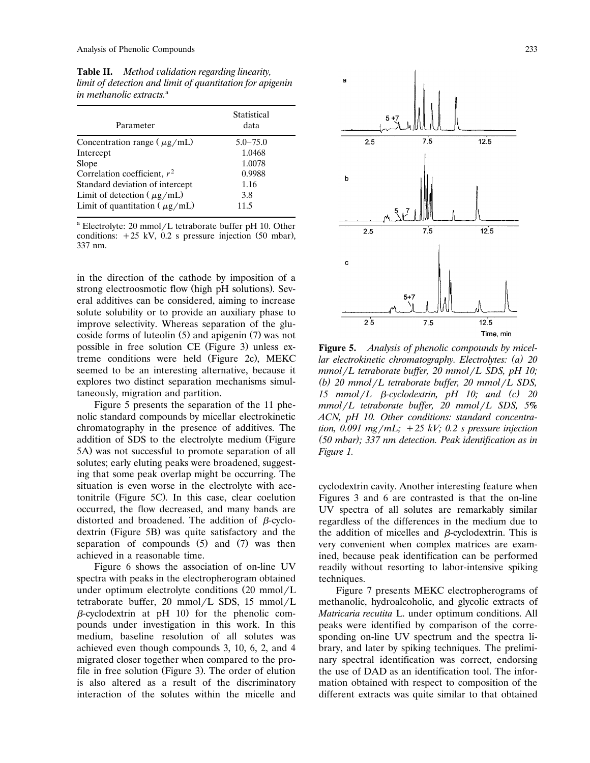**Table II.** *Method alidation regarding linearity, limit of detection and limit of quantitation for apigenin in methanolic extracts.*<sup>a</sup>

| Parameter                           | Statistical<br>data |
|-------------------------------------|---------------------|
| Concentration range ( $\mu$ g/mL)   | $5.0 - 75.0$        |
| Intercept                           | 1.0468              |
| Slope                               | 1.0078              |
| Correlation coefficient, $r^2$      | 0.9988              |
| Standard deviation of intercept     | 1.16                |
| Limit of detection ( $\mu$ g/mL)    | 3.8                 |
| Limit of quantitation ( $\mu$ g/mL) | 11.5                |

 $a$  Electrolyte: 20 mmol/L tetraborate buffer pH 10. Other conditions:  $+25$  kV, 0.2 s pressure injection (50 mbar), 337 nm.

in the direction of the cathode by imposition of a strong electroosmotic flow (high pH solutions). Several additives can be considered, aiming to increase solute solubility or to provide an auxiliary phase to improve selectivity. Whereas separation of the glucoside forms of luteolin  $(5)$  and apigenin  $(7)$  was not possible in free solution CE (Figure 3) unless extreme conditions were held (Figure 2c), MEKC seemed to be an interesting alternative, because it explores two distinct separation mechanisms simultaneously, migration and partition.

Figure 5 presents the separation of the 11 phenolic standard compounds by micellar electrokinetic chromatography in the presence of additives. The addition of SDS to the electrolyte medium (Figure 5A) was not successful to promote separation of all solutes; early eluting peaks were broadened, suggesting that some peak overlap might be occurring. The situation is even worse in the electrolyte with acetonitrile (Figure 5C). In this case, clear coelution occurred, the flow decreased, and many bands are distorted and broadened. The addition of  $\beta$ -cyclodextrin (Figure 5B) was quite satisfactory and the separation of compounds  $(5)$  and  $(7)$  was then achieved in a reasonable time.

Figure 6 shows the association of on-line UV spectra with peaks in the electropherogram obtained under optimum electrolyte conditions  $(20 \text{ mmol/L})$ tetraborate buffer, 20 mmol/L SDS, 15 mmol/L  $\beta$ -cyclodextrin at pH 10) for the phenolic compounds under investigation in this work. In this medium, baseline resolution of all solutes was achieved even though compounds 3, 10, 6, 2, and 4 migrated closer together when compared to the profile in free solution (Figure 3). The order of elution is also altered as a result of the discriminatory interaction of the solutes within the micelle and



**Figure 5.** *Analysis of phenolic compounds by micellar electrokinetic chromatography. Electrolytes: (a) 20 mmol*-*L tetraborate buffer, 20 mmol*-*L SDS, pH 10; ( )b 20 mmol*-*L tetraborate buffer, 20 mmol*-*L SDS, 15 mmol/L β-cyclodextrin, pH 10; and (c) 20 mmol*-*L tetraborate buffer, 20 mmol*-*L SDS, 5% ACN, pH 10. Other conditions: standard concentration, 0.091 mg*-*mL; 25 kV; 0.2 s pressure injection ( ) 50 mbar ; 337 nm detection. Peak identification as in Figure 1.*

cyclodextrin cavity. Another interesting feature when Figures 3 and 6 are contrasted is that the on-line UV spectra of all solutes are remarkably similar regardless of the differences in the medium due to the addition of micelles and  $\beta$ -cyclodextrin. This is very convenient when complex matrices are examined, because peak identification can be performed readily without resorting to labor-intensive spiking techniques.

Figure 7 presents MEKC electropherograms of methanolic, hydroalcoholic, and glycolic extracts of *Matricaria recutita* L. under optimum conditions. All peaks were identified by comparison of the corresponding on-line UV spectrum and the spectra library, and later by spiking techniques. The preliminary spectral identification was correct, endorsing the use of DAD as an identification tool. The information obtained with respect to composition of the different extracts was quite similar to that obtained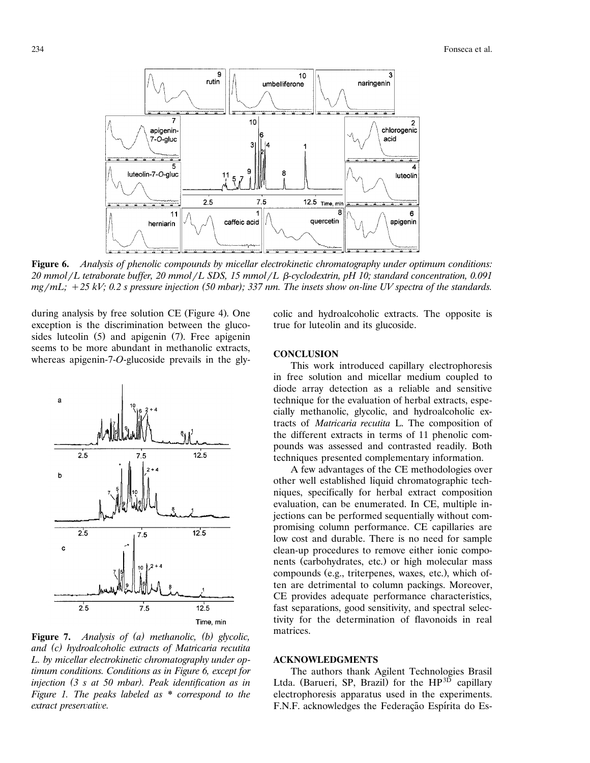

**Figure 6.** *Analysis of phenolic compounds by micellar electrokinetic chromatography under optimum conditions: 20 mmol*-*L tetraborate buffer, 20 mmol*-*L SDS, 15 mmol*-*L -cyclodextrin, pH 10; standard concentration, 0.091 mg*/mL; +25 kV; 0.2 s pressure injection (50 mbar); 337 nm. The insets show on-line UV spectra of the standards.

during analysis by free solution CE (Figure 4). One exception is the discrimination between the glucosides luteolin  $(5)$  and apigenin  $(7)$ . Free apigenin seems to be more abundant in methanolic extracts, whereas apigenin-7-*O*-glucoside prevails in the gly-



**Figure 7.** *Analysis of (a) methanolic, (b) glycolic,* and (c) hydroalcoholic extracts of Matricaria recutita *L. by micellar electrokinetic chromatography under optimum conditions. Conditions as in Figure 6, except for* injection (3 s at 50 mbar). Peak identification as in *Figure 1. The peaks labeled as \* correspond to the extract preseratie.*

colic and hydroalcoholic extracts. The opposite is true for luteolin and its glucoside.

#### **CONCLUSION**

This work introduced capillary electrophoresis in free solution and micellar medium coupled to diode array detection as a reliable and sensitive technique for the evaluation of herbal extracts, especially methanolic, glycolic, and hydroalcoholic extracts of *Matricaria recutita* L. The composition of the different extracts in terms of 11 phenolic compounds was assessed and contrasted readily. Both techniques presented complementary information.

A few advantages of the CE methodologies over other well established liquid chromatographic techniques, specifically for herbal extract composition evaluation, can be enumerated. In CE, multiple injections can be performed sequentially without compromising column performance. CE capillaries are low cost and durable. There is no need for sample clean-up procedures to remove either ionic components (carbohydrates, etc.) or high molecular mass compounds (e.g., triterpenes, waxes, etc.), which often are detrimental to column packings. Moreover, CE provides adequate performance characteristics, fast separations, good sensitivity, and spectral selectivity for the determination of flavonoids in real matrices.

#### **ACKNOWLEDGMENTS**

The authors thank Agilent Technologies Brasil Ltda. (Barueri, SP, Brazil) for the  $HP^{3D}$  capillary electrophoresis apparatus used in the experiments. F.N.F. acknowledges the Federação Espírita do Es